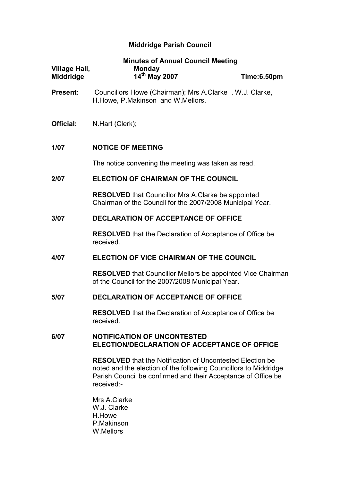# Middridge Parish Council

|                                          | <b>Minutes of Annual Council Meeting</b>                                                                                                                                                                            |             |  |
|------------------------------------------|---------------------------------------------------------------------------------------------------------------------------------------------------------------------------------------------------------------------|-------------|--|
| <b>Village Hall,</b><br><b>Middridge</b> | <b>Monday</b><br>14 <sup>th</sup> May 2007                                                                                                                                                                          | Time:6.50pm |  |
| <b>Present:</b>                          | Councillors Howe (Chairman); Mrs A.Clarke, W.J. Clarke,<br>H. Howe, P. Makinson and W. Mellors.                                                                                                                     |             |  |
| Official:                                | N.Hart (Clerk);                                                                                                                                                                                                     |             |  |
| 1/07                                     | <b>NOTICE OF MEETING</b>                                                                                                                                                                                            |             |  |
|                                          | The notice convening the meeting was taken as read.                                                                                                                                                                 |             |  |
| 2/07                                     | <b>ELECTION OF CHAIRMAN OF THE COUNCIL</b>                                                                                                                                                                          |             |  |
|                                          | <b>RESOLVED</b> that Councillor Mrs A.Clarke be appointed<br>Chairman of the Council for the 2007/2008 Municipal Year.                                                                                              |             |  |
| 3/07                                     | <b>DECLARATION OF ACCEPTANCE OF OFFICE</b>                                                                                                                                                                          |             |  |
|                                          | <b>RESOLVED</b> that the Declaration of Acceptance of Office be<br>received.                                                                                                                                        |             |  |
| 4/07                                     | ELECTION OF VICE CHAIRMAN OF THE COUNCIL                                                                                                                                                                            |             |  |
|                                          | <b>RESOLVED</b> that Councillor Mellors be appointed Vice Chairman<br>of the Council for the 2007/2008 Municipal Year.                                                                                              |             |  |
| 5/07                                     | <b>DECLARATION OF ACCEPTANCE OF OFFICE</b>                                                                                                                                                                          |             |  |
|                                          | <b>RESOLVED</b> that the Declaration of Acceptance of Office be<br>received.                                                                                                                                        |             |  |
| 6/07                                     | <b>NOTIFICATION OF UNCONTESTED</b><br>ELECTION/DECLARATION OF ACCEPTANCE OF OFFICE                                                                                                                                  |             |  |
|                                          | <b>RESOLVED</b> that the Notification of Uncontested Election be<br>noted and the election of the following Councillors to Middridge<br>Parish Council be confirmed and their Acceptance of Office be<br>received:- |             |  |

 Mrs A.Clarke W.J. Clarke H.Howe P.Makinson W.Mellors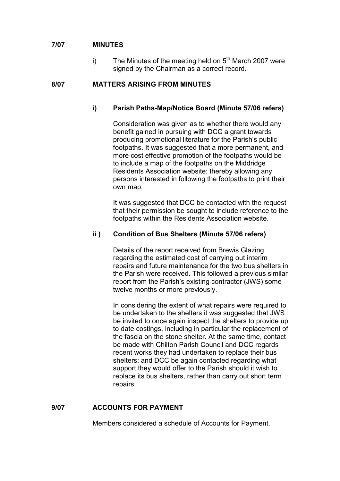## 7/07 MINUTES

i) The Minutes of the meeting held on  $5<sup>th</sup>$  March 2007 were signed by the Chairman as a correct record.

## 8/07 MATTERS ARISING FROM MINUTES

## i) Parish Paths-Map/Notice Board (Minute 57/06 refers)

 Consideration was given as to whether there would any benefit gained in pursuing with DCC a grant towards producing promotional literature for the Parish's public footpaths. It was suggested that a more permanent, and more cost effective promotion of the footpaths would be to include a map of the footpaths on the Middridge Residents Association website; thereby allowing any persons interested in following the footpaths to print their own map.

 It was suggested that DCC be contacted with the request that their permission be sought to include reference to the footpaths within the Residents Association website.

## ii ) Condition of Bus Shelters (Minute 57/06 refers)

Details of the report received from Brewis Glazing regarding the estimated cost of carrying out interim repairs and future maintenance for the two bus shelters in the Parish were received. This followed a previous similar report from the Parish's existing contractor (JWS) some twelve months or more previously.

In considering the extent of what repairs were required to be undertaken to the shelters it was suggested that JWS be invited to once again inspect the shelters to provide up to date costings, including in particular the replacement of the fascia on the stone shelter. At the same time, contact be made with Chilton Parish Council and DCC regards recent works they had undertaken to replace their bus shelters; and DCC be again contacted regarding what support they would offer to the Parish should it wish to replace its bus shelters, rather than carry out short term repairs.

## 9/07 ACCOUNTS FOR PAYMENT

Members considered a schedule of Accounts for Payment.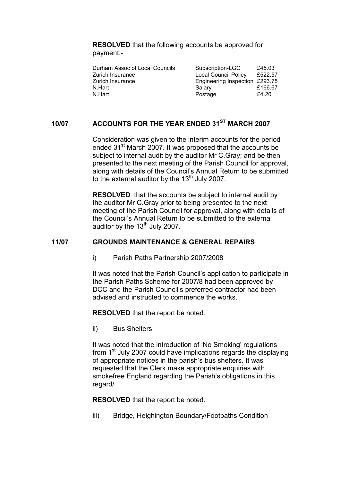RESOLVED that the following accounts be approved for payment:-

| Durham Assoc of Local Councils | Subscription-LGC               | £45.03  |
|--------------------------------|--------------------------------|---------|
| Zurich Insurance               | Local Council Policy           | £522.57 |
| Zurich Insurance               | Engineering Inspection £293.75 |         |
| N.Hart                         | Salarv                         | £166.67 |
| N.Hart                         | Postage                        | £4.20   |

## 10/07 ACCOUNTS FOR THE YEAR ENDED 31<sup>ST</sup> MARCH 2007

Consideration was given to the interim accounts for the period ended 31<sup>st</sup> March 2007. It was proposed that the accounts be subject to internal audit by the auditor Mr C.Gray; and be then presented to the next meeting of the Parish Council for approval, along with details of the Council's Annual Return to be submitted to the external auditor by the  $13<sup>th</sup>$  July 2007.

RESOLVED that the accounts be subject to internal audit by the auditor Mr C.Gray prior to being presented to the next meeting of the Parish Council for approval, along with details of the Council's Annual Return to be submitted to the external auditor by the  $13<sup>th</sup>$  July 2007.

## 11/07 GROUNDS MAINTENANCE & GENERAL REPAIRS

i) Parish Paths Partnership 2007/2008

 It was noted that the Parish Council's application to participate in the Parish Paths Scheme for 2007/8 had been approved by DCC and the Parish Council's preferred contractor had been advised and instructed to commence the works.

RESOLVED that the report be noted.

ii) Bus Shelters

It was noted that the introduction of 'No Smoking' regulations from 1<sup>st</sup> July 2007 could have implications regards the displaying of appropriate notices in the parish's bus shelters. It was requested that the Clerk make appropriate enquiries with smokefree England regarding the Parish's obligations in this regard/

RESOLVED that the report be noted.

iii) Bridge, Heighington Boundary/Footpaths Condition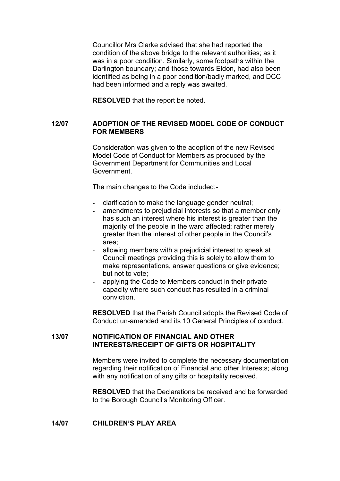Councillor Mrs Clarke advised that she had reported the condition of the above bridge to the relevant authorities; as it was in a poor condition. Similarly, some footpaths within the Darlington boundary; and those towards Eldon, had also been identified as being in a poor condition/badly marked, and DCC had been informed and a reply was awaited.

RESOLVED that the report be noted.

#### 12/07 ADOPTION OF THE REVISED MODEL CODE OF CONDUCT FOR MEMBERS

Consideration was given to the adoption of the new Revised Model Code of Conduct for Members as produced by the Government Department for Communities and Local Government.

The main changes to the Code included:-

- clarification to make the language gender neutral;
- amendments to prejudicial interests so that a member only has such an interest where his interest is greater than the majority of the people in the ward affected; rather merely greater than the interest of other people in the Council's area;
- allowing members with a prejudicial interest to speak at Council meetings providing this is solely to allow them to make representations, answer questions or give evidence; but not to vote;
- applying the Code to Members conduct in their private capacity where such conduct has resulted in a criminal conviction.

RESOLVED that the Parish Council adopts the Revised Code of Conduct un-amended and its 10 General Principles of conduct.

#### 13/07 NOTIFICATION OF FINANCIAL AND OTHER INTERESTS/RECEIPT OF GIFTS OR HOSPITALITY

Members were invited to complete the necessary documentation regarding their notification of Financial and other Interests; along with any notification of any gifts or hospitality received.

RESOLVED that the Declarations be received and be forwarded to the Borough Council's Monitoring Officer.

#### 14/07 CHILDREN'S PLAY AREA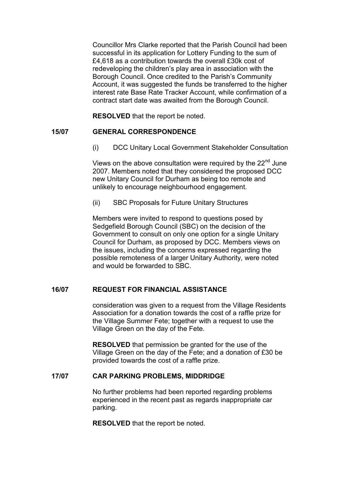Councillor Mrs Clarke reported that the Parish Council had been successful in its application for Lottery Funding to the sum of £4,618 as a contribution towards the overall £30k cost of redeveloping the children's play area in association with the Borough Council. Once credited to the Parish's Community Account, it was suggested the funds be transferred to the higher interest rate Base Rate Tracker Account, while confirmation of a contract start date was awaited from the Borough Council.

RESOLVED that the report be noted.

## 15/07 GENERAL CORRESPONDENCE

(i) DCC Unitary Local Government Stakeholder Consultation

Views on the above consultation were required by the 22<sup>nd</sup> June 2007. Members noted that they considered the proposed DCC new Unitary Council for Durham as being too remote and unlikely to encourage neighbourhood engagement.

(ii) SBC Proposals for Future Unitary Structures

Members were invited to respond to questions posed by Sedgefield Borough Council (SBC) on the decision of the Government to consult on only one option for a single Unitary Council for Durham, as proposed by DCC. Members views on the issues, including the concerns expressed regarding the possible remoteness of a larger Unitary Authority, were noted and would be forwarded to SBC.

## 16/07 REQUEST FOR FINANCIAL ASSISTANCE

consideration was given to a request from the Village Residents Association for a donation towards the cost of a raffle prize for the Village Summer Fete; together with a request to use the Village Green on the day of the Fete.

RESOLVED that permission be granted for the use of the Village Green on the day of the Fete; and a donation of £30 be provided towards the cost of a raffle prize.

## 17/07 CAR PARKING PROBLEMS, MIDDRIDGE

No further problems had been reported regarding problems experienced in the recent past as regards inappropriate car parking.

RESOLVED that the report be noted.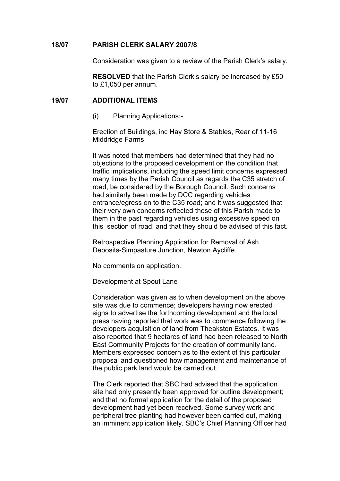#### 18/07 PARISH CLERK SALARY 2007/8

Consideration was given to a review of the Parish Clerk's salary.

RESOLVED that the Parish Clerk's salary be increased by £50 to £1,050 per annum.

#### 19/07 ADDITIONAL ITEMS

(i) Planning Applications:-

Erection of Buildings, inc Hay Store & Stables, Rear of 11-16 Middridge Farms

It was noted that members had determined that they had no objections to the proposed development on the condition that traffic implications, including the speed limit concerns expressed many times by the Parish Council as regards the C35 stretch of road, be considered by the Borough Council. Such concerns had similarly been made by DCC regarding vehicles entrance/egress on to the C35 road; and it was suggested that their very own concerns reflected those of this Parish made to them in the past regarding vehicles using excessive speed on this section of road; and that they should be advised of this fact.

Retrospective Planning Application for Removal of Ash Deposits-Simpasture Junction, Newton Aycliffe

No comments on application.

Development at Spout Lane

Consideration was given as to when development on the above site was due to commence; developers having now erected signs to advertise the forthcoming development and the local press having reported that work was to commence following the developers acquisition of land from Theakston Estates. It was also reported that 9 hectares of land had been released to North East Community Projects for the creation of community land. Members expressed concern as to the extent of this particular proposal and questioned how management and maintenance of the public park land would be carried out.

The Clerk reported that SBC had advised that the application site had only presently been approved for outline development; and that no formal application for the detail of the proposed development had yet been received. Some survey work and peripheral tree planting had however been carried out, making an imminent application likely. SBC's Chief Planning Officer had